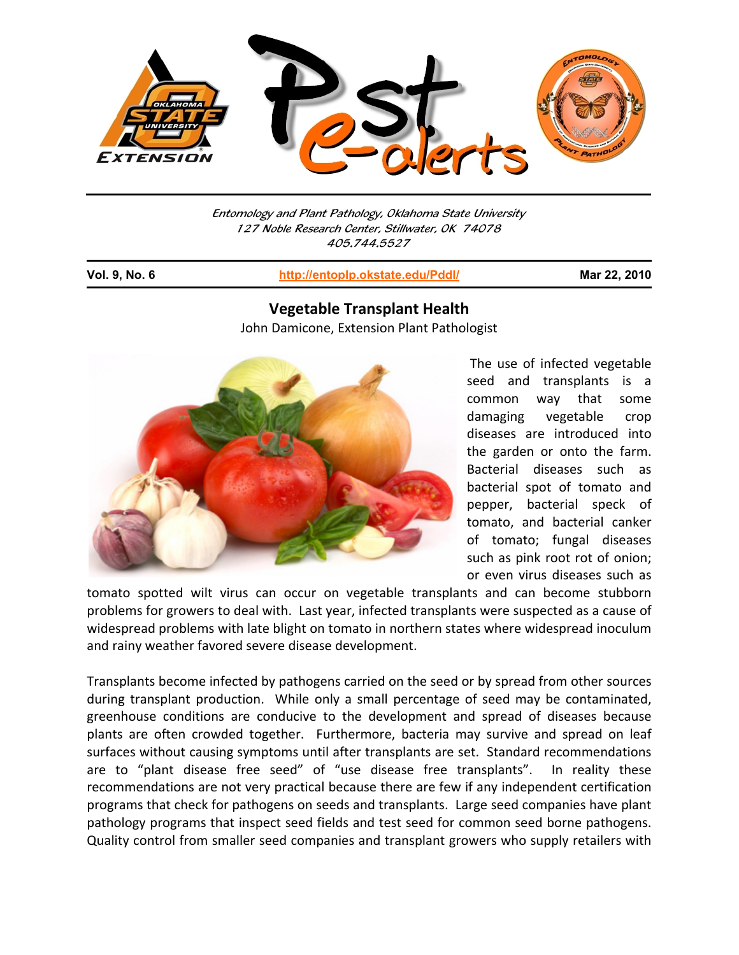

Entomology and Plant Pathology, Oklahoma State University 127 Noble Research Center, Stillwater, OK 74078 405.744.5527

j

**Vol. 9, No. 6 http://entoplp.okstate.edu/Pddl/ Mar 22, 2010**

## **Vegetable Transplant Health** John Damicone, Extension Plant Pathologist



The use of infected vegetable seed and transplants is a common way that some damaging vegetable crop diseases are introduced into the garden or onto the farm. Bacterial diseases such as bacterial spot of tomato and pepper, bacterial speck of tomato, and bacterial canker of tomato; fungal diseases such as pink root rot of onion; or even virus diseases such as

tomato spotted wilt virus can occur on vegetable transplants and can become stubborn problems for growers to deal with. Last year, infected transplants were suspected as a cause of widespread problems with late blight on tomato in northern states where widespread inoculum and rainy weather favored severe disease development.

Transplants become infected by pathogens carried on the seed or by spread from other sources during transplant production. While only a small percentage of seed may be contaminated, greenhouse conditions are conducive to the development and spread of diseases because plants are often crowded together. Furthermore, bacteria may survive and spread on leaf surfaces without causing symptoms until after transplants are set. Standard recommendations are to "plant disease free seed" of "use disease free transplants". In reality these recommendations are not very practical because there are few if any independent certification programs that check for pathogens on seeds and transplants. Large seed companies have plant pathology programs that inspect seed fields and test seed for common seed borne pathogens. Quality control from smaller seed companies and transplant growers who supply retailers with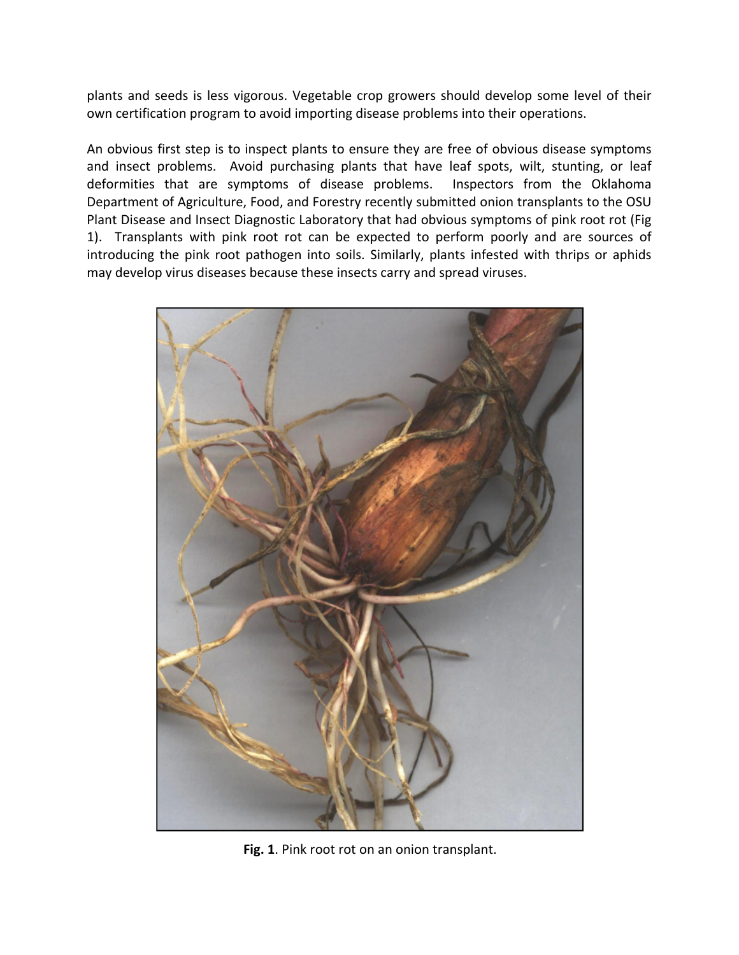plants and seeds is less vigorous. Vegetable crop growers should develop some level of their own certification program to avoid importing disease problems into their operations.

An obvious first step is to inspect plants to ensure they are free of obvious disease symptoms and insect problems. Avoid purchasing plants that have leaf spots, wilt, stunting, or leaf deformities that are symptoms of disease problems. Inspectors from the Oklahoma Department of Agriculture, Food, and Forestry recently submitted onion transplants to the OSU Plant Disease and Insect Diagnostic Laboratory that had obvious symptoms of pink root rot (Fig 1). Transplants with pink root rot can be expected to perform poorly and are sources of introducing the pink root pathogen into soils. Similarly, plants infested with thrips or aphids may develop virus diseases because these insects carry and spread viruses.



**Fig. 1**. Pink root rot on an onion transplant.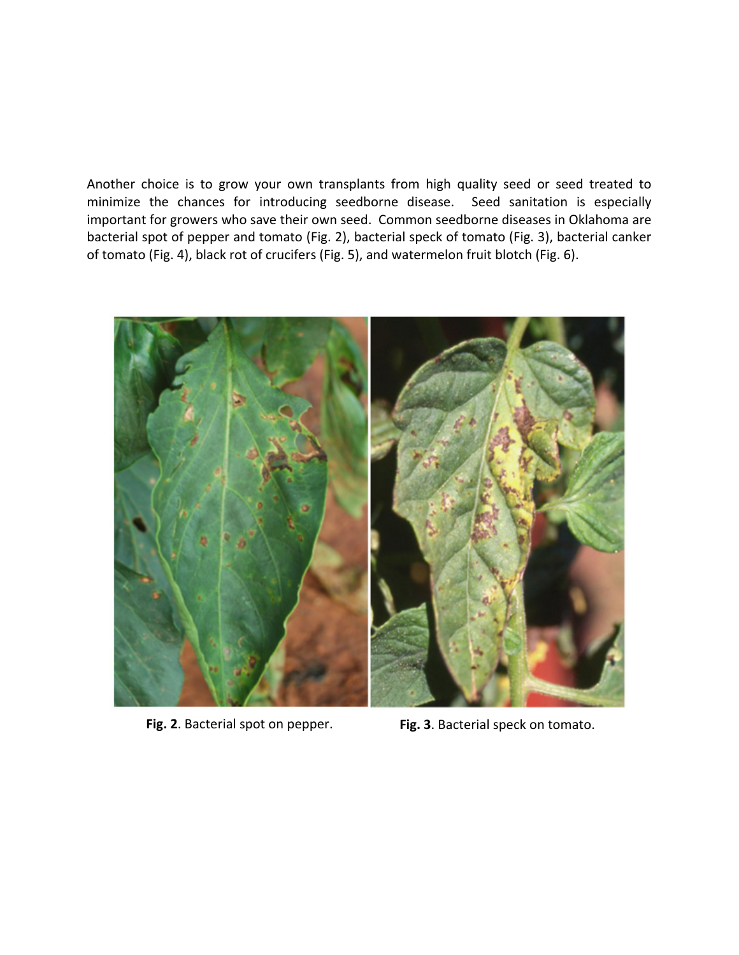Another choice is to grow your own transplants from high quality seed or seed treated to minimize the chances for introducing seedborne disease. Seed sanitation is especially important for growers who save their own seed. Common seedborne diseases in Oklahoma are bacterial spot of pepper and tomato (Fig. 2), bacterial speck of tomato (Fig. 3), bacterial canker of tomato (Fig. 4), black rot of crucifers (Fig. 5), and watermelon fruit blotch (Fig. 6).



**Fig. 2**. Bacterial spot on pepper. **Fig. 3**. Bacterial speck on tomato.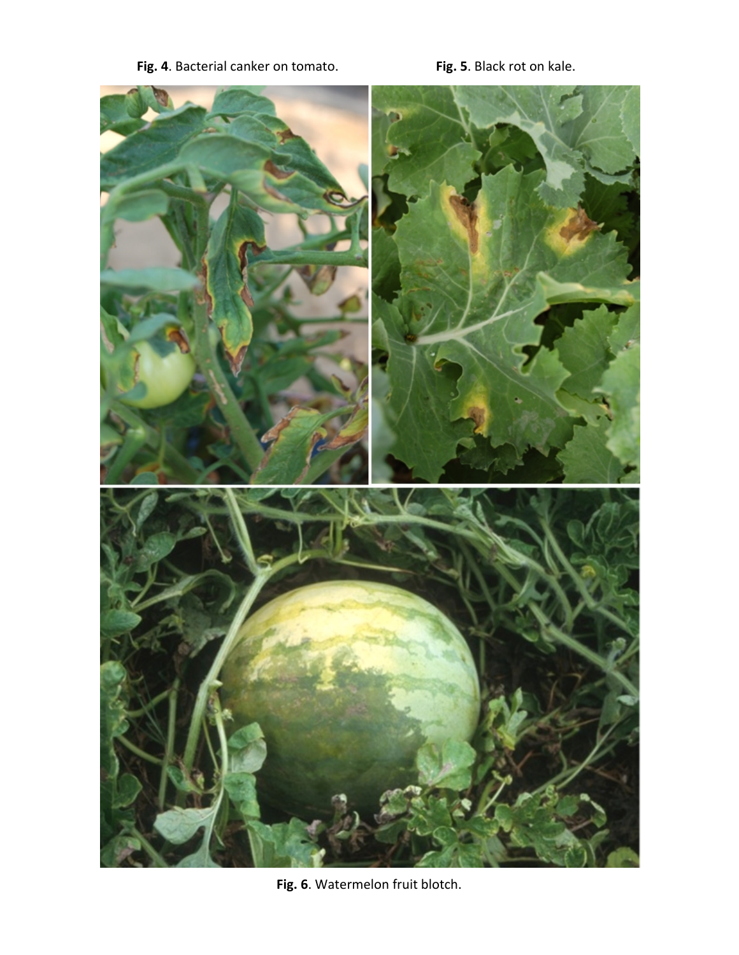**Fig. 4**. Bacterial canker on tomato. **Fig. 5**. Black rot on kale.



**Fig. 6**. Watermelon fruit blotch.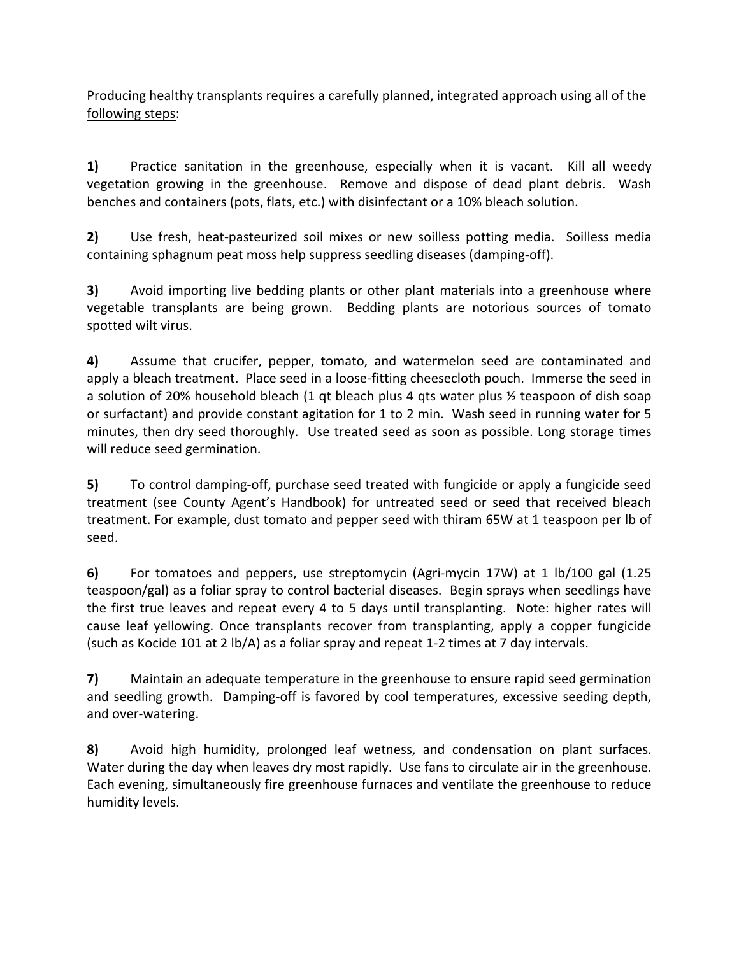Producing healthy transplants requires a carefully planned, integrated approach using all of the following steps:

**1)** Practice sanitation in the greenhouse, especially when it is vacant. Kill all weedy vegetation growing in the greenhouse. Remove and dispose of dead plant debris. Wash benches and containers (pots, flats, etc.) with disinfectant or a 10% bleach solution.

**2)** Use fresh, heat-pasteurized soil mixes or new soilless potting media. Soilless media containing sphagnum peat moss help suppress seedling diseases (damping‐off).

**3)** Avoid importing live bedding plants or other plant materials into a greenhouse where vegetable transplants are being grown. Bedding plants are notorious sources of tomato spotted wilt virus.

**4)** Assume that crucifer, pepper, tomato, and watermelon seed are contaminated and apply a bleach treatment. Place seed in a loose-fitting cheesecloth pouch. Immerse the seed in a solution of 20% household bleach (1 qt bleach plus 4 qts water plus ½ teaspoon of dish soap or surfactant) and provide constant agitation for 1 to 2 min. Wash seed in running water for 5 minutes, then dry seed thoroughly. Use treated seed as soon as possible. Long storage times will reduce seed germination.

**5)** To control damping‐off, purchase seed treated with fungicide or apply a fungicide seed treatment (see County Agent's Handbook) for untreated seed or seed that received bleach treatment. For example, dust tomato and pepper seed with thiram 65W at 1 teaspoon per lb of seed.

**6)** For tomatoes and peppers, use streptomycin (Agri‐mycin 17W) at 1 lb/100 gal (1.25 teaspoon/gal) as a foliar spray to control bacterial diseases. Begin sprays when seedlings have the first true leaves and repeat every 4 to 5 days until transplanting. Note: higher rates will cause leaf yellowing. Once transplants recover from transplanting, apply a copper fungicide (such as Kocide 101 at 2 lb/A) as a foliar spray and repeat 1‐2 times at 7 day intervals.

**7)** Maintain an adequate temperature in the greenhouse to ensure rapid seed germination and seedling growth. Damping-off is favored by cool temperatures, excessive seeding depth, and over‐watering.

**8)** Avoid high humidity, prolonged leaf wetness, and condensation on plant surfaces. Water during the day when leaves dry most rapidly. Use fans to circulate air in the greenhouse. Each evening, simultaneously fire greenhouse furnaces and ventilate the greenhouse to reduce humidity levels.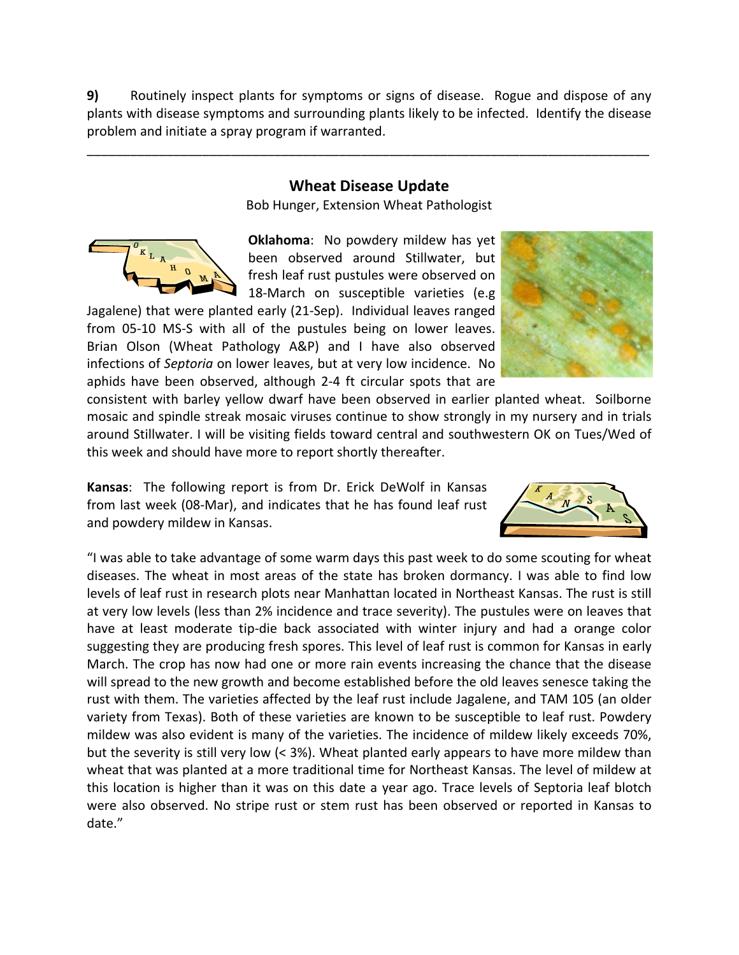**9)** Routinely inspect plants for symptoms or signs of disease. Rogue and dispose of any plants with disease symptoms and surrounding plants likely to be infected. Identify the disease problem and initiate a spray program if warranted.

## **Wheat Disease Update**

\_\_\_\_\_\_\_\_\_\_\_\_\_\_\_\_\_\_\_\_\_\_\_\_\_\_\_\_\_\_\_\_\_\_\_\_\_\_\_\_\_\_\_\_\_\_\_\_\_\_\_\_\_\_\_\_\_\_\_\_\_\_\_\_\_\_\_\_\_\_\_\_\_\_\_\_\_\_

Bob Hunger, Extension Wheat Pathologist



**Oklahoma**: No powdery mildew has yet been observed around Stillwater, but fresh leaf rust pustules were observed on 18-March on susceptible varieties (e.g

Jagalene) that were planted early (21‐Sep). Individual leaves ranged from 05-10 MS-S with all of the pustules being on lower leaves. Brian Olson (Wheat Pathology A&P) and I have also observed infections of *Septoria* on lower leaves, but at very low incidence. No aphids have been observed, although 2‐4 ft circular spots that are



consistent with barley yellow dwarf have been observed in earlier planted wheat. Soilborne mosaic and spindle streak mosaic viruses continue to show strongly in my nursery and in trials around Stillwater. I will be visiting fields toward central and southwestern OK on Tues/Wed of this week and should have more to report shortly thereafter.

**Kansas**: The following report is from Dr. Erick DeWolf in Kansas from last week (08‐Mar), and indicates that he has found leaf rust and powdery mildew in Kansas.



"I was able to take advantage of some warm days this past week to do some scouting for wheat diseases. The wheat in most areas of the state has broken dormancy. I was able to find low levels of leaf rust in research plots near Manhattan located in Northeast Kansas. The rust is still at very low levels (less than 2% incidence and trace severity). The pustules were on leaves that have at least moderate tip-die back associated with winter injury and had a orange color suggesting they are producing fresh spores. This level of leaf rust is common for Kansas in early March. The crop has now had one or more rain events increasing the chance that the disease will spread to the new growth and become established before the old leaves senesce taking the rust with them. The varieties affected by the leaf rust include Jagalene, and TAM 105 (an older variety from Texas). Both of these varieties are known to be susceptible to leaf rust. Powdery mildew was also evident is many of the varieties. The incidence of mildew likely exceeds 70%, but the severity is still very low (< 3%). Wheat planted early appears to have more mildew than wheat that was planted at a more traditional time for Northeast Kansas. The level of mildew at this location is higher than it was on this date a year ago. Trace levels of Septoria leaf blotch were also observed. No stripe rust or stem rust has been observed or reported in Kansas to date."